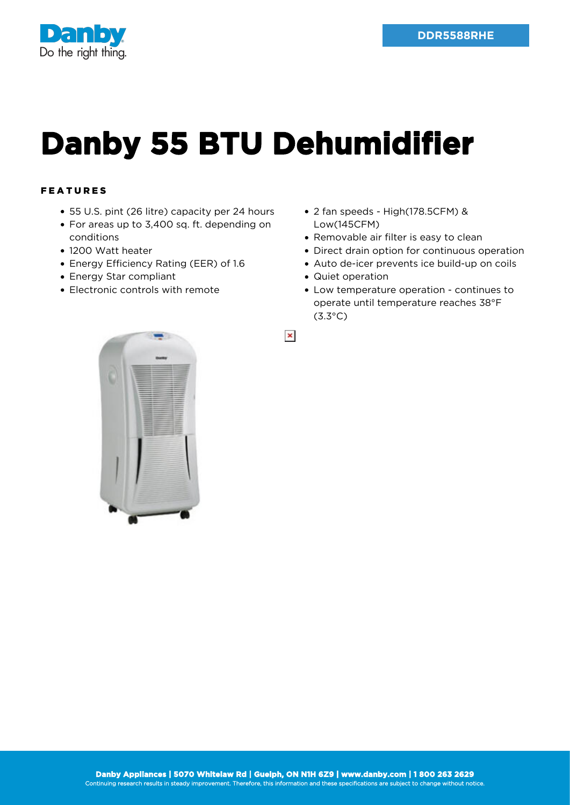



## **Danby 55 BTU Dehumidifier**

## FEATURES

- 55 U.S. pint (26 litre) capacity per 24 hours
- For areas up to 3,400 sq. ft. depending on conditions
- 1200 Watt heater
- Energy Efficiency Rating (EER) of 1.6
- Energy Star compliant
- Electronic controls with remote
- 2 fan speeds High(178.5CFM) & Low(145CFM)
- Removable air filter is easy to clean
- Direct drain option for continuous operation
- Auto de-icer prevents ice build-up on coils
- Quiet operation
- Low temperature operation continues to operate until temperature reaches 38°F (3.3°C)

 $\pmb{\times}$